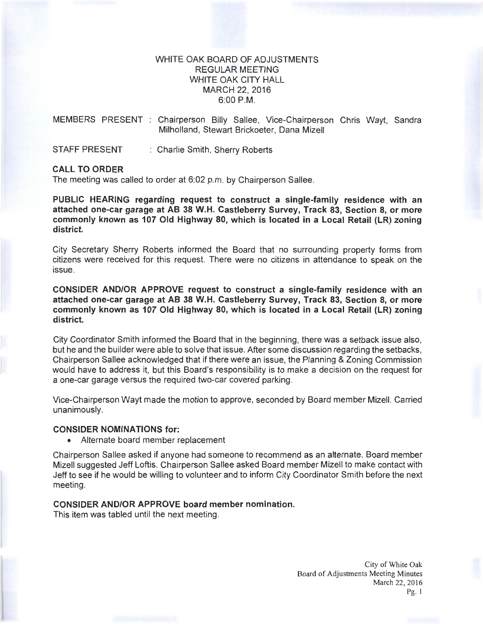## WHITE OAK BOARD OF ADJUSTMENTS REGULAR MEETING WHITE OAK CITY HALL MARCH 22, 2016 6:00P.M.

MEMBERS PRESENT : Chairperson Billy Sallee, Vice-Chairperson Chris Wayt, Sandra Milholland, Stewart Brickoeter, Dana Mizell

STAFF PRESENT : Charlie Smith, Sherry Roberts

### **CALL TO ORDER**

The meeting was called to order at 6:02 p.m. by Chairperson Sallee.

**PUBLIC HEARING regarding request to construct a single-family residence with an attached one-car garage at AB 38 W.H. Castleberry Survey, Track 83, Section 8, or more commonly known as 107 Old Highway 80, which is located in a Local Retail (LR) zoning district.** 

City Secretary Sherry Roberts informed the Board that no surrounding property forms from citizens were received for this request. There were no citizens in attendance to speak on the issue.

**CONSIDER AND/OR APPROVE request to construct a single-family residence with an attached one-car garage at AB 38 W.H. Castleberry Survey, Track 83, Section 8, or more commonly known as 107 Old Highway 80, which is located in a Local Retail (LR) zoning district.** 

City Coordinator Smith informed the Board that in the beginning, there was a setback issue also, but he and the builder were able to solve that issue. After some discussion regarding the setbacks, Chairperson Sallee acknowledged that if there were an issue, the Planning & Zoning Commission would have to address it, but this Board's responsibility is to make a decision on the request for a one-car garage versus the required two-car covered parking.

Vice-Chairperson Wayt made the motion to approve, seconded by Board member Mizell. Carried unanimously.

#### **CONSIDER NOMINATIONS for:**

• Alternate board member replacement

Chairperson Sallee asked if anyone had someone to recommend as an alternate. Board member Mizell suggested Jeff Loftis. Chairperson Sallee asked Board member Mizell to make contact with Jeff to see if he would be willing to volunteer and to inform City Coordinator Smith before the next meeting.

# **CONSIDER AND/OR APPROVE board member nomination.**

This item was tabled until the next meeting.

City of White Oak Board of Adjustments Meeting Minutes March 22, 2016 Pg. 1